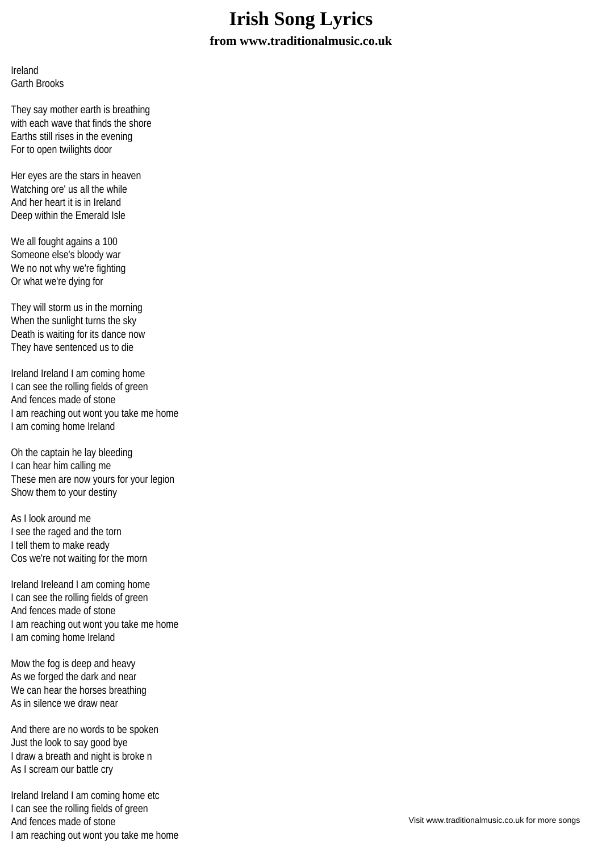## **Irish Song Lyrics from www.traditionalmusic.co.uk**

Ireland Garth Brooks

They say mother earth is breathing with each wave that finds the shore Earths still rises in the evening For to open twilights door

Her eyes are the stars in heaven Watching ore' us all the while And her heart it is in Ireland Deep within the Emerald Isle

We all fought agains a 100 Someone else's bloody war We no not why we're fighting Or what we're dying for

They will storm us in the morning When the sunlight turns the sky Death is waiting for its dance now They have sentenced us to die

Ireland Ireland I am coming home I can see the rolling fields of green And fences made of stone I am reaching out wont you take me home I am coming home Ireland

Oh the captain he lay bleeding I can hear him calling me These men are now yours for your legion Show them to your destiny

As I look around me I see the raged and the torn I tell them to make ready Cos we're not waiting for the morn

Ireland Ireleand I am coming home I can see the rolling fields of green And fences made of stone I am reaching out wont you take me home I am coming home Ireland

Mow the fog is deep and heavy As we forged the dark and near We can hear the horses breathing As in silence we draw near

And there are no words to be spoken Just the look to say good bye I draw a breath and night is broke n As I scream our battle cry

Ireland Ireland I am coming home etc I can see the rolling fields of green And fences made of stone I am reaching out wont you take me home